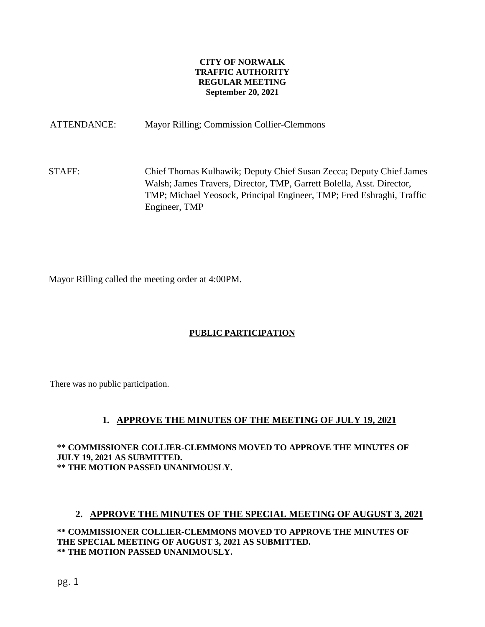#### **CITY OF NORWALK TRAFFIC AUTHORITY REGULAR MEETING September 20, 2021**

ATTENDANCE: Mayor Rilling; Commission Collier-Clemmons

STAFF: Chief Thomas Kulhawik; Deputy Chief Susan Zecca; Deputy Chief James Walsh; James Travers, Director, TMP, Garrett Bolella, Asst. Director, TMP; Michael Yeosock, Principal Engineer, TMP; Fred Eshraghi, Traffic Engineer, TMP

Mayor Rilling called the meeting order at 4:00PM.

### **PUBLIC PARTICIPATION**

There was no public participation.

### **1. APPROVE THE MINUTES OF THE MEETING OF JULY 19, 2021**

**\*\* COMMISSIONER COLLIER-CLEMMONS MOVED TO APPROVE THE MINUTES OF JULY 19, 2021 AS SUBMITTED. \*\* THE MOTION PASSED UNANIMOUSLY.**

#### **2. APPROVE THE MINUTES OF THE SPECIAL MEETING OF AUGUST 3, 2021**

**\*\* COMMISSIONER COLLIER-CLEMMONS MOVED TO APPROVE THE MINUTES OF THE SPECIAL MEETING OF AUGUST 3, 2021 AS SUBMITTED. \*\* THE MOTION PASSED UNANIMOUSLY.**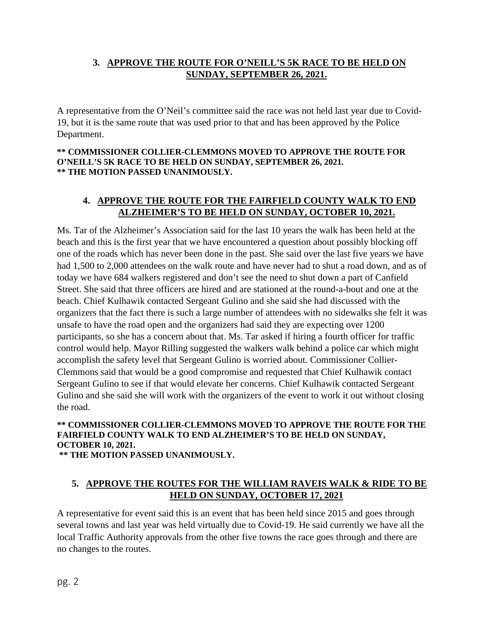## **3. APPROVE THE ROUTE FOR O'NEILL'S 5K RACE TO BE HELD ON SUNDAY, SEPTEMBER 26, 2021.**

A representative from the O'Neil's committee said the race was not held last year due to Covid-19, but it is the same route that was used prior to that and has been approved by the Police Department.

#### **\*\* COMMISSIONER COLLIER-CLEMMONS MOVED TO APPROVE THE ROUTE FOR O'NEILL'S 5K RACE TO BE HELD ON SUNDAY, SEPTEMBER 26, 2021. \*\* THE MOTION PASSED UNANIMOUSLY.**

# **4. APPROVE THE ROUTE FOR THE FAIRFIELD COUNTY WALK TO END ALZHEIMER'S TO BE HELD ON SUNDAY, OCTOBER 10, 2021.**

Ms. Tar of the Alzheimer's Association said for the last 10 years the walk has been held at the beach and this is the first year that we have encountered a question about possibly blocking off one of the roads which has never been done in the past. She said over the last five years we have had 1,500 to 2,000 attendees on the walk route and have never had to shut a road down, and as of today we have 684 walkers registered and don't see the need to shut down a part of Canfield Street. She said that three officers are hired and are stationed at the round-a-bout and one at the beach. Chief Kulhawik contacted Sergeant Gulino and she said she had discussed with the organizers that the fact there is such a large number of attendees with no sidewalks she felt it was unsafe to have the road open and the organizers had said they are expecting over 1200 participants, so she has a concern about that. Ms. Tar asked if hiring a fourth officer for traffic control would help. Mayor Rilling suggested the walkers walk behind a police car which might accomplish the safety level that Sergeant Gulino is worried about. Commissioner Collier-Clemmons said that would be a good compromise and requested that Chief Kulhawik contact Sergeant Gulino to see if that would elevate her concerns. Chief Kulhawik contacted Sergeant Gulino and she said she will work with the organizers of the event to work it out without closing the road.

## **\*\* COMMISSIONER COLLIER-CLEMMONS MOVED TO APPROVE THE ROUTE FOR THE FAIRFIELD COUNTY WALK TO END ALZHEIMER'S TO BE HELD ON SUNDAY, OCTOBER 10, 2021.**

**\*\* THE MOTION PASSED UNANIMOUSLY.**

## **5. APPROVE THE ROUTES FOR THE WILLIAM RAVEIS WALK & RIDE TO BE HELD ON SUNDAY, OCTOBER 17, 2021**

A representative for event said this is an event that has been held since 2015 and goes through several towns and last year was held virtually due to Covid-19. He said currently we have all the local Traffic Authority approvals from the other five towns the race goes through and there are no changes to the routes.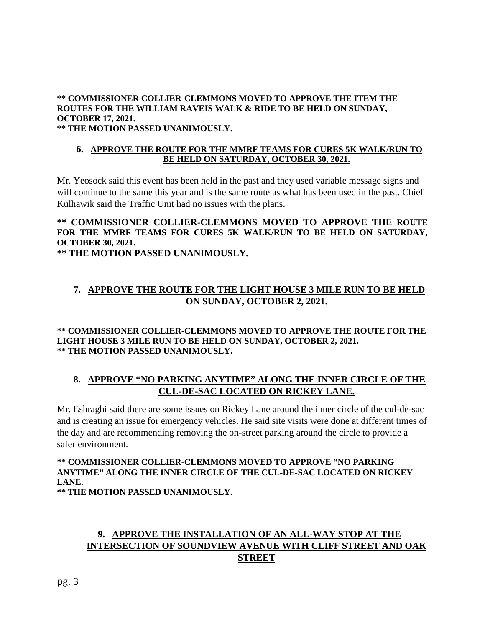# **\*\* COMMISSIONER COLLIER-CLEMMONS MOVED TO APPROVE THE ITEM THE ROUTES FOR THE WILLIAM RAVEIS WALK & RIDE TO BE HELD ON SUNDAY, OCTOBER 17, 2021.**

**\*\* THE MOTION PASSED UNANIMOUSLY.**

#### **6. APPROVE THE ROUTE FOR THE MMRF TEAMS FOR CURES 5K WALK/RUN TO BE HELD ON SATURDAY, OCTOBER 30, 2021.**

Mr. Yeosock said this event has been held in the past and they used variable message signs and will continue to the same this year and is the same route as what has been used in the past. Chief Kulhawik said the Traffic Unit had no issues with the plans.

### **\*\* COMMISSIONER COLLIER-CLEMMONS MOVED TO APPROVE THE ROUTE FOR THE MMRF TEAMS FOR CURES 5K WALK/RUN TO BE HELD ON SATURDAY, OCTOBER 30, 2021.**

**\*\* THE MOTION PASSED UNANIMOUSLY.**

# **7. APPROVE THE ROUTE FOR THE LIGHT HOUSE 3 MILE RUN TO BE HELD ON SUNDAY, OCTOBER 2, 2021.**

#### **\*\* COMMISSIONER COLLIER-CLEMMONS MOVED TO APPROVE THE ROUTE FOR THE LIGHT HOUSE 3 MILE RUN TO BE HELD ON SUNDAY, OCTOBER 2, 2021. \*\* THE MOTION PASSED UNANIMOUSLY.**

## **8. APPROVE "NO PARKING ANYTIME" ALONG THE INNER CIRCLE OF THE CUL-DE-SAC LOCATED ON RICKEY LANE.**

Mr. Eshraghi said there are some issues on Rickey Lane around the inner circle of the cul-de-sac and is creating an issue for emergency vehicles. He said site visits were done at different times of the day and are recommending removing the on-street parking around the circle to provide a safer environment.

# **\*\* COMMISSIONER COLLIER-CLEMMONS MOVED TO APPROVE "NO PARKING ANYTIME" ALONG THE INNER CIRCLE OF THE CUL-DE-SAC LOCATED ON RICKEY LANE.**

**\*\* THE MOTION PASSED UNANIMOUSLY.**

## **9. APPROVE THE INSTALLATION OF AN ALL-WAY STOP AT THE INTERSECTION OF SOUNDVIEW AVENUE WITH CLIFF STREET AND OAK STREET**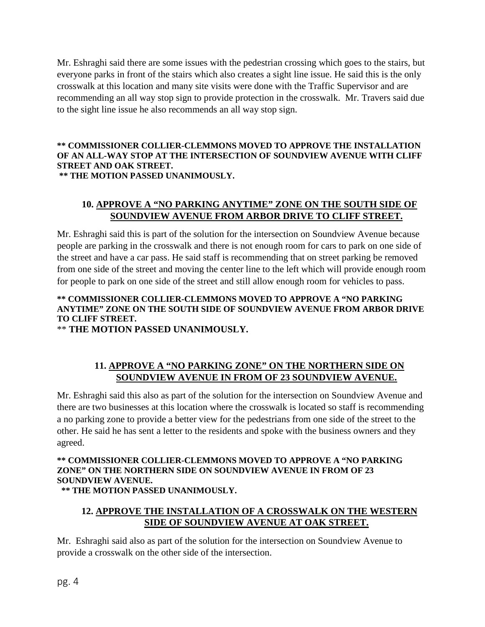Mr. Eshraghi said there are some issues with the pedestrian crossing which goes to the stairs, but everyone parks in front of the stairs which also creates a sight line issue. He said this is the only crosswalk at this location and many site visits were done with the Traffic Supervisor and are recommending an all way stop sign to provide protection in the crosswalk. Mr. Travers said due to the sight line issue he also recommends an all way stop sign.

#### **\*\* COMMISSIONER COLLIER-CLEMMONS MOVED TO APPROVE THE INSTALLATION OF AN ALL-WAY STOP AT THE INTERSECTION OF SOUNDVIEW AVENUE WITH CLIFF STREET AND OAK STREET. \*\* THE MOTION PASSED UNANIMOUSLY.**

## **10. APPROVE A "NO PARKING ANYTIME" ZONE ON THE SOUTH SIDE OF SOUNDVIEW AVENUE FROM ARBOR DRIVE TO CLIFF STREET.**

Mr. Eshraghi said this is part of the solution for the intersection on Soundview Avenue because people are parking in the crosswalk and there is not enough room for cars to park on one side of the street and have a car pass. He said staff is recommending that on street parking be removed from one side of the street and moving the center line to the left which will provide enough room for people to park on one side of the street and still allow enough room for vehicles to pass.

### **\*\* COMMISSIONER COLLIER-CLEMMONS MOVED TO APPROVE A "NO PARKING ANYTIME" ZONE ON THE SOUTH SIDE OF SOUNDVIEW AVENUE FROM ARBOR DRIVE TO CLIFF STREET.**

\*\* **THE MOTION PASSED UNANIMOUSLY.**

# **11. APPROVE A "NO PARKING ZONE" ON THE NORTHERN SIDE ON SOUNDVIEW AVENUE IN FROM OF 23 SOUNDVIEW AVENUE.**

Mr. Eshraghi said this also as part of the solution for the intersection on Soundview Avenue and there are two businesses at this location where the crosswalk is located so staff is recommending a no parking zone to provide a better view for the pedestrians from one side of the street to the other. He said he has sent a letter to the residents and spoke with the business owners and they agreed.

#### **\*\* COMMISSIONER COLLIER-CLEMMONS MOVED TO APPROVE A "NO PARKING ZONE" ON THE NORTHERN SIDE ON SOUNDVIEW AVENUE IN FROM OF 23 SOUNDVIEW AVENUE. \*\* THE MOTION PASSED UNANIMOUSLY.**

# **12. APPROVE THE INSTALLATION OF A CROSSWALK ON THE WESTERN SIDE OF SOUNDVIEW AVENUE AT OAK STREET.**

Mr. Eshraghi said also as part of the solution for the intersection on Soundview Avenue to provide a crosswalk on the other side of the intersection.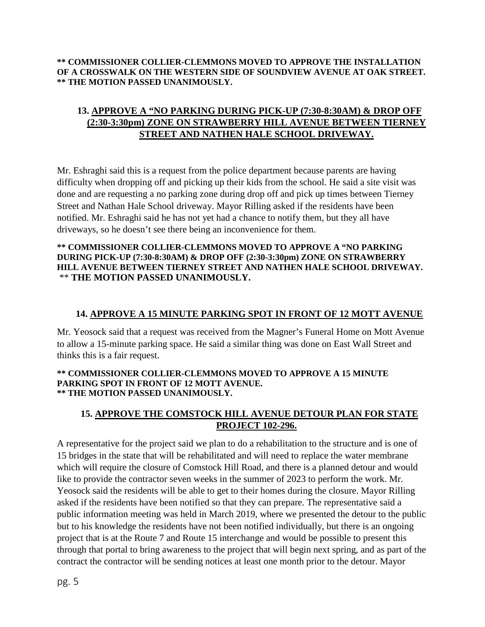**\*\* COMMISSIONER COLLIER-CLEMMONS MOVED TO APPROVE THE INSTALLATION OF A CROSSWALK ON THE WESTERN SIDE OF SOUNDVIEW AVENUE AT OAK STREET. \*\* THE MOTION PASSED UNANIMOUSLY.**

# **13. APPROVE A "NO PARKING DURING PICK-UP (7:30-8:30AM) & DROP OFF (2:30-3:30pm) ZONE ON STRAWBERRY HILL AVENUE BETWEEN TIERNEY STREET AND NATHEN HALE SCHOOL DRIVEWAY.**

Mr. Eshraghi said this is a request from the police department because parents are having difficulty when dropping off and picking up their kids from the school. He said a site visit was done and are requesting a no parking zone during drop off and pick up times between Tierney Street and Nathan Hale School driveway. Mayor Rilling asked if the residents have been notified. Mr. Eshraghi said he has not yet had a chance to notify them, but they all have driveways, so he doesn't see there being an inconvenience for them.

#### **\*\* COMMISSIONER COLLIER-CLEMMONS MOVED TO APPROVE A "NO PARKING DURING PICK-UP (7:30-8:30AM) & DROP OFF (2:30-3:30pm) ZONE ON STRAWBERRY HILL AVENUE BETWEEN TIERNEY STREET AND NATHEN HALE SCHOOL DRIVEWAY.** \*\* **THE MOTION PASSED UNANIMOUSLY.**

#### **14. APPROVE A 15 MINUTE PARKING SPOT IN FRONT OF 12 MOTT AVENUE**

Mr. Yeosock said that a request was received from the Magner's Funeral Home on Mott Avenue to allow a 15-minute parking space. He said a similar thing was done on East Wall Street and thinks this is a fair request.

#### **\*\* COMMISSIONER COLLIER-CLEMMONS MOVED TO APPROVE A 15 MINUTE PARKING SPOT IN FRONT OF 12 MOTT AVENUE. \*\* THE MOTION PASSED UNANIMOUSLY.**

#### **15. APPROVE THE COMSTOCK HILL AVENUE DETOUR PLAN FOR STATE PROJECT 102-296.**

A representative for the project said we plan to do a rehabilitation to the structure and is one of 15 bridges in the state that will be rehabilitated and will need to replace the water membrane which will require the closure of Comstock Hill Road, and there is a planned detour and would like to provide the contractor seven weeks in the summer of 2023 to perform the work. Mr. Yeosock said the residents will be able to get to their homes during the closure. Mayor Rilling asked if the residents have been notified so that they can prepare. The representative said a public information meeting was held in March 2019, where we presented the detour to the public but to his knowledge the residents have not been notified individually, but there is an ongoing project that is at the Route 7 and Route 15 interchange and would be possible to present this through that portal to bring awareness to the project that will begin next spring, and as part of the contract the contractor will be sending notices at least one month prior to the detour. Mayor